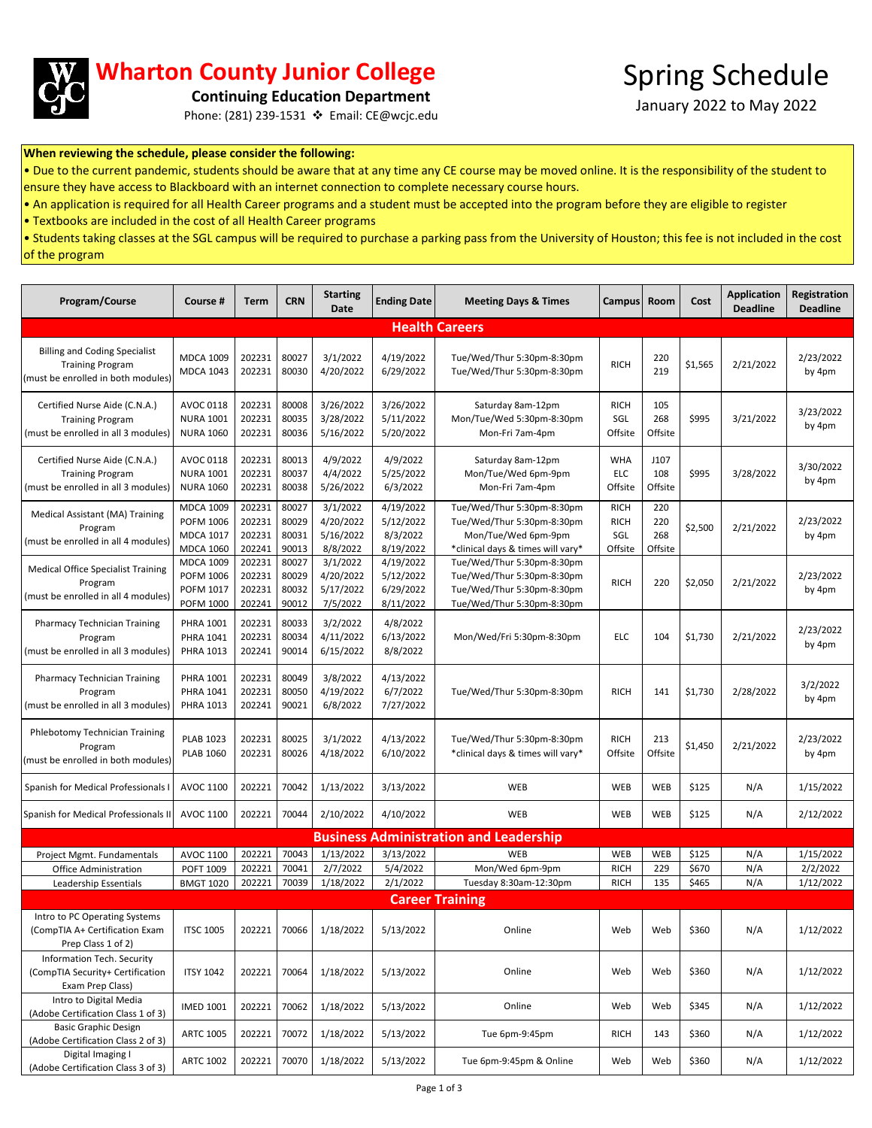

## **Wharton County Junior College**

January 2022 to May 2022 **Continuing Education Department**

Phone: (281) 239-1531 Email: CE@wcjc.edu

## **When reviewing the schedule, please consider the following:**

• Due to the current pandemic, students should be aware that at any time any CE course may be moved online. It is the responsibility of the student to ensure they have access to Blackboard with an internet connection to complete necessary course hours.

• An application is required for all Health Career programs and a student must be accepted into the program before they are eligible to register

• Textbooks are included in the cost of all Health Career programs

• Students taking classes at the SGL campus will be required to purchase a parking pass from the University of Houston; this fee is not included in the cost of the program

| Program/Course                                                                                        | Course #                                                                     | <b>Term</b>                          | <b>CRN</b>                       | <b>Starting</b><br>Date                        | <b>Ending Date</b>                               | <b>Meeting Days &amp; Times</b>                                                                                      | <b>Campus</b>                                | Room                         | Cost    | <b>Application</b><br><b>Deadline</b> | Registration<br><b>Deadline</b> |
|-------------------------------------------------------------------------------------------------------|------------------------------------------------------------------------------|--------------------------------------|----------------------------------|------------------------------------------------|--------------------------------------------------|----------------------------------------------------------------------------------------------------------------------|----------------------------------------------|------------------------------|---------|---------------------------------------|---------------------------------|
| <b>Health Careers</b>                                                                                 |                                                                              |                                      |                                  |                                                |                                                  |                                                                                                                      |                                              |                              |         |                                       |                                 |
| <b>Billing and Coding Specialist</b><br><b>Training Program</b><br>(must be enrolled in both modules) | <b>MDCA 1009</b><br><b>MDCA 1043</b>                                         | 202231<br>202231                     | 80027<br>80030                   | 3/1/2022<br>4/20/2022                          | 4/19/2022<br>6/29/2022                           | Tue/Wed/Thur 5:30pm-8:30pm<br>Tue/Wed/Thur 5:30pm-8:30pm                                                             | <b>RICH</b>                                  | 220<br>219                   | \$1,565 | 2/21/2022                             | 2/23/2022<br>by 4pm             |
| Certified Nurse Aide (C.N.A.)<br><b>Training Program</b><br>(must be enrolled in all 3 modules)       | AVOC 0118<br><b>NURA 1001</b><br><b>NURA 1060</b>                            | 202231<br>202231<br>202231           | 80008<br>80035<br>80036          | 3/26/2022<br>3/28/2022<br>5/16/2022            | 3/26/2022<br>5/11/2022<br>5/20/2022              | Saturday 8am-12pm<br>Mon/Tue/Wed 5:30pm-8:30pm<br>Mon-Fri 7am-4pm                                                    | <b>RICH</b><br>SGL<br>Offsite                | 105<br>268<br>Offsite        | \$995   | 3/21/2022                             | 3/23/2022<br>by 4pm             |
| Certified Nurse Aide (C.N.A.)<br><b>Training Program</b><br>(must be enrolled in all 3 modules)       | AVOC 0118<br><b>NURA 1001</b><br><b>NURA 1060</b>                            | 202231<br>202231<br>202231           | 80013<br>80037<br>80038          | 4/9/2022<br>4/4/2022<br>5/26/2022              | 4/9/2022<br>5/25/2022<br>6/3/2022                | Saturday 8am-12pm<br>Mon/Tue/Wed 6pm-9pm<br>Mon-Fri 7am-4pm                                                          | WHA<br><b>ELC</b><br>Offsite                 | J107<br>108<br>Offsite       | \$995   | 3/28/2022                             | 3/30/2022<br>by 4pm             |
| Medical Assistant (MA) Training<br>Program<br>(must be enrolled in all 4 modules)                     | <b>MDCA 1009</b><br><b>POFM 1006</b><br><b>MDCA 1017</b><br><b>MDCA 1060</b> | 202231<br>202231<br>202231<br>202241 | 80027<br>80029<br>80031<br>90013 | 3/1/2022<br>4/20/2022<br>5/16/2022<br>8/8/2022 | 4/19/2022<br>5/12/2022<br>8/3/2022<br>8/19/2022  | Tue/Wed/Thur 5:30pm-8:30pm<br>Tue/Wed/Thur 5:30pm-8:30pm<br>Mon/Tue/Wed 6pm-9pm<br>*clinical days & times will vary* | <b>RICH</b><br><b>RICH</b><br>SGL<br>Offsite | 220<br>220<br>268<br>Offsite | \$2,500 | 2/21/2022                             | 2/23/2022<br>by 4pm             |
| <b>Medical Office Specialist Training</b><br>Program<br>(must be enrolled in all 4 modules)           | <b>MDCA 1009</b><br><b>POFM 1006</b><br>POFM 1017<br><b>POFM 1000</b>        | 202231<br>202231<br>202231<br>202241 | 80027<br>80029<br>80032<br>90012 | 3/1/2022<br>4/20/2022<br>5/17/2022<br>7/5/2022 | 4/19/2022<br>5/12/2022<br>6/29/2022<br>8/11/2022 | Tue/Wed/Thur 5:30pm-8:30pm<br>Tue/Wed/Thur 5:30pm-8:30pm<br>Tue/Wed/Thur 5:30pm-8:30pm<br>Tue/Wed/Thur 5:30pm-8:30pm | <b>RICH</b>                                  | 220                          | \$2,050 | 2/21/2022                             | 2/23/2022<br>by 4pm             |
| <b>Pharmacy Technician Training</b><br>Program<br>(must be enrolled in all 3 modules)                 | PHRA 1001<br><b>PHRA 1041</b><br>PHRA 1013                                   | 202231<br>202231<br>202241           | 80033<br>80034<br>90014          | 3/2/2022<br>4/11/2022<br>6/15/2022             | 4/8/2022<br>6/13/2022<br>8/8/2022                | Mon/Wed/Fri 5:30pm-8:30pm                                                                                            | <b>ELC</b>                                   | 104                          | \$1,730 | 2/21/2022                             | 2/23/2022<br>by 4pm             |
| <b>Pharmacy Technician Training</b><br>Program<br>(must be enrolled in all 3 modules)                 | <b>PHRA 1001</b><br><b>PHRA 1041</b><br><b>PHRA 1013</b>                     | 202231<br>202231<br>202241           | 80049<br>80050<br>90021          | 3/8/2022<br>4/19/2022<br>6/8/2022              | 4/13/2022<br>6/7/2022<br>7/27/2022               | Tue/Wed/Thur 5:30pm-8:30pm                                                                                           | <b>RICH</b>                                  | 141                          | \$1,730 | 2/28/2022                             | 3/2/2022<br>by 4pm              |
| Phlebotomy Technician Training<br>Program<br>(must be enrolled in both modules)                       | <b>PLAB 1023</b><br><b>PLAB 1060</b>                                         | 202231<br>202231                     | 80025<br>80026                   | 3/1/2022<br>4/18/2022                          | 4/13/2022<br>6/10/2022                           | Tue/Wed/Thur 5:30pm-8:30pm<br>*clinical days & times will vary*                                                      | <b>RICH</b><br>Offsite                       | 213<br>Offsite               | \$1,450 | 2/21/2022                             | 2/23/2022<br>by 4pm             |
| Spanish for Medical Professionals I                                                                   | AVOC 1100                                                                    | 202221                               | 70042                            | 1/13/2022                                      | 3/13/2022                                        | WEB                                                                                                                  | WEB                                          | WEB                          | \$125   | N/A                                   | 1/15/2022                       |
| Spanish for Medical Professionals II                                                                  | AVOC 1100                                                                    | 202221                               | 70044                            | 2/10/2022                                      | 4/10/2022                                        | <b>WEB</b>                                                                                                           | WEB                                          | WEB                          | \$125   | N/A                                   | 2/12/2022                       |
|                                                                                                       |                                                                              |                                      |                                  |                                                |                                                  | <b>Business Administration and Leadership</b>                                                                        |                                              |                              |         |                                       |                                 |
| Project Mgmt. Fundamentals                                                                            | AVOC 1100                                                                    | 202221                               | 70043                            | 1/13/2022                                      | 3/13/2022                                        | <b>WEB</b>                                                                                                           | <b>WEB</b>                                   | WEB                          | \$125   | N/A                                   | 1/15/2022                       |
| Office Administration                                                                                 | POFT 1009                                                                    | 202221                               | 70041                            | 2/7/2022                                       | 5/4/2022                                         | Mon/Wed 6pm-9pm                                                                                                      | <b>RICH</b>                                  | 229                          | \$670   | N/A                                   | 2/2/2022                        |
| Leadership Essentials                                                                                 | <b>BMGT 1020</b>                                                             | 202221                               | 70039                            | 1/18/2022                                      | 2/1/2022                                         | Tuesday 8:30am-12:30pm                                                                                               | <b>RICH</b>                                  | 135                          | \$465   | N/A                                   | 1/12/2022                       |
| <b>Career Training</b>                                                                                |                                                                              |                                      |                                  |                                                |                                                  |                                                                                                                      |                                              |                              |         |                                       |                                 |
| Intro to PC Operating Systems<br>(CompTIA A+ Certification Exam<br>Prep Class 1 of 2)                 | <b>ITSC 1005</b>                                                             | 202221                               | 70066                            | 1/18/2022                                      | 5/13/2022                                        | Online                                                                                                               | Web                                          | Web                          | \$360   | N/A                                   | 1/12/2022                       |
| Information Tech. Security<br>(CompTIA Security+ Certification<br>Exam Prep Class)                    | <b>ITSY 1042</b>                                                             | 202221                               | 70064                            | 1/18/2022                                      | 5/13/2022                                        | Online                                                                                                               | Web                                          | Web                          | \$360   | N/A                                   | 1/12/2022                       |
| Intro to Digital Media<br>(Adobe Certification Class 1 of 3)                                          | <b>IMED 1001</b>                                                             | 202221                               | 70062                            | 1/18/2022                                      | 5/13/2022                                        | Online                                                                                                               | Web                                          | Web                          | \$345   | N/A                                   | 1/12/2022                       |
| <b>Basic Graphic Design</b><br>(Adobe Certification Class 2 of 3)                                     | <b>ARTC 1005</b>                                                             | 202221                               | 70072                            | 1/18/2022                                      | 5/13/2022                                        | Tue 6pm-9:45pm                                                                                                       | <b>RICH</b>                                  | 143                          | \$360   | N/A                                   | 1/12/2022                       |
| Digital Imaging I<br>(Adobe Certification Class 3 of 3)                                               | <b>ARTC 1002</b>                                                             | 202221                               | 70070                            | 1/18/2022                                      | 5/13/2022                                        | Tue 6pm-9:45pm & Online                                                                                              | Web                                          | Web                          | \$360   | N/A                                   | 1/12/2022                       |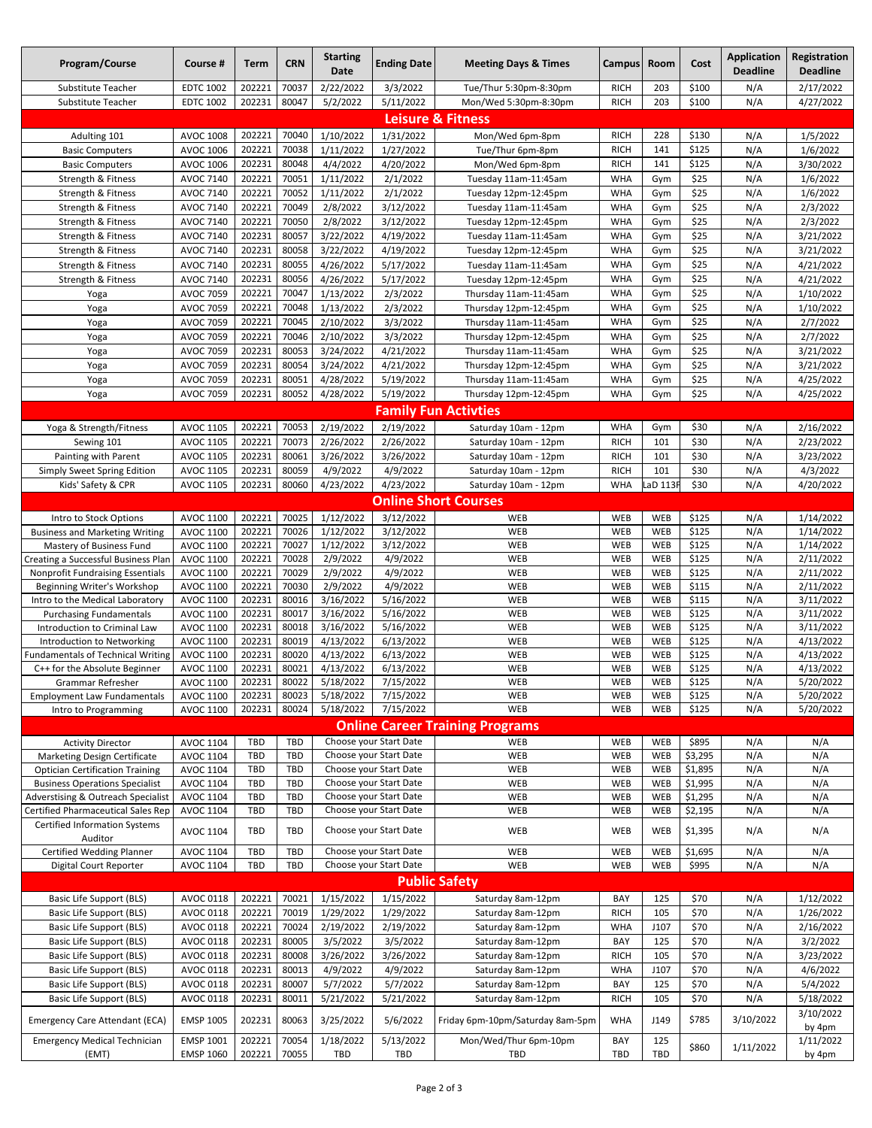| Program/Course                                                                         | Course #                             | Term             | <b>CRN</b>               | <b>Starting</b><br>Date | <b>Ending Date</b>                               | <b>Meeting Days &amp; Times</b>                | <b>Campus</b>              | Room       | Cost               | <b>Application</b><br><b>Deadline</b> | Registration<br><b>Deadline</b> |
|----------------------------------------------------------------------------------------|--------------------------------------|------------------|--------------------------|-------------------------|--------------------------------------------------|------------------------------------------------|----------------------------|------------|--------------------|---------------------------------------|---------------------------------|
| Substitute Teacher                                                                     | <b>EDTC 1002</b>                     | 202221           | 70037                    | 2/22/2022               | 3/3/2022                                         | Tue/Thur 5:30pm-8:30pm                         | <b>RICH</b>                | 203        | \$100              | N/A                                   | 2/17/2022                       |
| Substitute Teacher                                                                     | <b>EDTC 1002</b>                     | 202231           | 80047                    | 5/2/2022                | 5/11/2022                                        | Mon/Wed 5:30pm-8:30pm                          | <b>RICH</b>                | 203        | \$100              | N/A                                   | 4/27/2022                       |
| <b>Leisure &amp; Fitness</b>                                                           |                                      |                  |                          |                         |                                                  |                                                |                            |            |                    |                                       |                                 |
| Adulting 101                                                                           | AVOC 1008                            | 202221           | 70040                    | 1/10/2022               | 1/31/2022                                        | Mon/Wed 6pm-8pm                                | <b>RICH</b>                | 228        | \$130              | N/A                                   | 1/5/2022                        |
| <b>Basic Computers</b>                                                                 | AVOC 1006                            | 202221           | 70038                    | 1/11/2022               | 1/27/2022                                        | Tue/Thur 6pm-8pm                               | <b>RICH</b>                | 141        | \$125              | N/A                                   | 1/6/2022                        |
| <b>Basic Computers</b>                                                                 | AVOC 1006                            | 202231           | 80048                    | 4/4/2022                | 4/20/2022                                        | Mon/Wed 6pm-8pm                                | <b>RICH</b>                | 141        | \$125              | N/A                                   | 3/30/2022                       |
| Strength & Fitness                                                                     | <b>AVOC 7140</b>                     | 202221           | 70051                    | 1/11/2022               | 2/1/2022                                         | Tuesday 11am-11:45am                           | <b>WHA</b>                 | Gym        | \$25               | N/A                                   | 1/6/2022                        |
| Strength & Fitness                                                                     | <b>AVOC 7140</b>                     | 202221           | 70052                    | 1/11/2022               | 2/1/2022                                         | Tuesday 12pm-12:45pm                           | <b>WHA</b>                 | Gym        | \$25               | N/A                                   | 1/6/2022                        |
| Strength & Fitness                                                                     | <b>AVOC 7140</b>                     | 202221           | 70049                    | 2/8/2022                | 3/12/2022                                        | Tuesday 11am-11:45am                           | <b>WHA</b>                 | Gym        | \$25               | N/A                                   | 2/3/2022                        |
| Strength & Fitness                                                                     | <b>AVOC 7140</b>                     | 202221           | 70050                    | 2/8/2022                | 3/12/2022                                        | Tuesday 12pm-12:45pm                           | <b>WHA</b>                 | Gym        | \$25               | N/A                                   | 2/3/2022                        |
| Strength & Fitness                                                                     | AVOC 7140                            | 202231           | 80057                    | 3/22/2022               | 4/19/2022                                        | Tuesday 11am-11:45am                           | <b>WHA</b>                 | Gym        | \$25               | N/A                                   | 3/21/2022                       |
| Strength & Fitness                                                                     | AVOC 7140                            | 202231           | 80058                    | 3/22/2022               | 4/19/2022                                        | Tuesday 12pm-12:45pm                           | <b>WHA</b>                 | Gym        | \$25               | N/A                                   | 3/21/2022                       |
| Strength & Fitness                                                                     | <b>AVOC 7140</b>                     | 202231           | 80055                    | 4/26/2022               | 5/17/2022                                        | Tuesday 11am-11:45am                           | <b>WHA</b>                 | Gym        | \$25               | N/A                                   | 4/21/2022                       |
| Strength & Fitness                                                                     | <b>AVOC 7140</b>                     | 202231           | 80056                    | 4/26/2022               | 5/17/2022                                        | Tuesday 12pm-12:45pm                           | <b>WHA</b>                 | Gym        | \$25               | N/A                                   | 4/21/2022                       |
| Yoga                                                                                   | <b>AVOC 7059</b>                     | 202221           | 70047                    | 1/13/2022               | 2/3/2022                                         | Thursday 11am-11:45am                          | <b>WHA</b>                 | Gym        | \$25               | N/A                                   | 1/10/2022                       |
| Yoga                                                                                   | <b>AVOC 7059</b>                     | 202221           | 70048                    | 1/13/2022               | 2/3/2022                                         | Thursday 12pm-12:45pm                          | <b>WHA</b>                 | Gym        | \$25               | N/A                                   | 1/10/2022                       |
| Yoga                                                                                   | <b>AVOC 7059</b><br><b>AVOC 7059</b> | 202221           | 70045                    | 2/10/2022               | 3/3/2022                                         | Thursday 11am-11:45am                          | <b>WHA</b>                 | Gym        | \$25               | N/A                                   | 2/7/2022                        |
| Yoga                                                                                   |                                      | 202221<br>202231 | 70046<br>80053           | 2/10/2022<br>3/24/2022  | 3/3/2022                                         | Thursday 12pm-12:45pm                          | <b>WHA</b><br><b>WHA</b>   | Gym        | \$25<br>\$25       | N/A<br>N/A                            | 2/7/2022<br>3/21/2022           |
| Yoga                                                                                   | <b>AVOC 7059</b><br><b>AVOC 7059</b> | 202231           | 80054                    | 3/24/2022               | 4/21/2022<br>4/21/2022                           | Thursday 11am-11:45am<br>Thursday 12pm-12:45pm | <b>WHA</b>                 | Gym<br>Gym | \$25               | N/A                                   | 3/21/2022                       |
| Yoga<br>Yoga                                                                           | <b>AVOC 7059</b>                     | 202231           | 80051                    | 4/28/2022               | 5/19/2022                                        | Thursday 11am-11:45am                          | <b>WHA</b>                 | Gym        | \$25               | N/A                                   | 4/25/2022                       |
| Yoga                                                                                   | AVOC 7059                            | 202231           | 80052                    | 4/28/2022               | 5/19/2022                                        | Thursday 12pm-12:45pm                          | <b>WHA</b>                 | Gym        | \$25               | N/A                                   | 4/25/2022                       |
|                                                                                        |                                      |                  |                          |                         |                                                  | <b>Family Fun Activties</b>                    |                            |            |                    |                                       |                                 |
|                                                                                        |                                      |                  |                          |                         |                                                  |                                                |                            |            |                    |                                       |                                 |
| Yoga & Strength/Fitness                                                                | AVOC 1105                            | 202221           | 70053                    | 2/19/2022               | 2/19/2022                                        | Saturday 10am - 12pm                           | <b>WHA</b>                 | Gym        | \$30               | N/A                                   | 2/16/2022                       |
| Sewing 101                                                                             | <b>AVOC 1105</b>                     | 202221           | 70073                    | 2/26/2022               | 2/26/2022                                        | Saturday 10am - 12pm                           | <b>RICH</b>                | 101        | \$30               | N/A                                   | 2/23/2022                       |
| Painting with Parent                                                                   | AVOC 1105                            | 202231<br>202231 | 80061<br>80059           | 3/26/2022               | 3/26/2022                                        | Saturday 10am - 12pm                           | <b>RICH</b><br><b>RICH</b> | 101<br>101 | \$30<br>\$30       | N/A                                   | 3/23/2022                       |
| Simply Sweet Spring Edition                                                            | AVOC 1105<br>AVOC 1105               | 202231           | 80060                    | 4/9/2022<br>4/23/2022   | 4/9/2022<br>4/23/2022                            | Saturday 10am - 12pm                           | <b>WHA</b>                 | LaD 113    | \$30               | N/A<br>N/A                            | 4/3/2022<br>4/20/2022           |
| Kids' Safety & CPR                                                                     |                                      |                  |                          |                         |                                                  | Saturday 10am - 12pm                           |                            |            |                    |                                       |                                 |
|                                                                                        |                                      |                  |                          |                         |                                                  | <b>Online Short Courses</b>                    |                            |            |                    |                                       |                                 |
| Intro to Stock Options                                                                 | AVOC 1100                            | 202221           | 70025                    | 1/12/2022               | 3/12/2022                                        | WEB                                            | WEB                        | WEB        | \$125              | N/A                                   | 1/14/2022                       |
| <b>Business and Marketing Writing</b>                                                  | AVOC 1100                            | 202221           | 70026<br>70027           | 1/12/2022               | 3/12/2022                                        | <b>WEB</b><br><b>WEB</b>                       | WEB<br><b>WEB</b>          | WEB<br>WEB | \$125<br>\$125     | N/A                                   | 1/14/2022                       |
| Mastery of Business Fund<br>Creating a Successful Business Plan                        | AVOC 1100<br>AVOC 1100               | 202221<br>202221 | 70028                    | 1/12/2022<br>2/9/2022   | 3/12/2022<br>4/9/2022                            | <b>WEB</b>                                     | WEB                        | WEB        | \$125              | N/A<br>N/A                            | 1/14/2022<br>2/11/2022          |
| <b>Nonprofit Fundraising Essentials</b>                                                | AVOC 1100                            | 202221           | 70029                    | 2/9/2022                | 4/9/2022                                         | WEB                                            | <b>WEB</b>                 | WEB        | \$125              | N/A                                   | 2/11/2022                       |
| Beginning Writer's Workshop                                                            | AVOC 1100                            | 202221           | 70030                    | 2/9/2022                | 4/9/2022                                         | WEB                                            | WEB                        | WEB        | \$115              | N/A                                   | 2/11/2022                       |
| Intro to the Medical Laboratory                                                        | AVOC 1100                            | 202231           | 80016                    | 3/16/2022               | 5/16/2022                                        | <b>WEB</b>                                     | WEB                        | WEB        | \$115              | N/A                                   | 3/11/2022                       |
| <b>Purchasing Fundamentals</b>                                                         | AVOC 1100                            | 202231           | 80017                    | 3/16/2022               | 5/16/2022                                        | <b>WEB</b>                                     | <b>WEB</b>                 | WEB        | \$125              | N/A                                   | 3/11/2022                       |
| Introduction to Criminal Law                                                           | AVOC 1100                            | 202231           | 80018                    | 3/16/2022               | 5/16/2022                                        | <b>WEB</b>                                     | WEB                        | WEB        | \$125              | N/A                                   | 3/11/2022                       |
| Introduction to Networking                                                             | AVOC 1100                            | 202231           | 80019                    | 4/13/2022               | 6/13/2022                                        | WEB                                            | WEB                        | WEB        | \$125              | N/A                                   | 4/13/2022                       |
| <b>Fundamentals of Technical Writing</b>                                               | AVOC 1100                            | 202231           | 80020                    | 4/13/2022               | 6/13/2022                                        | WEB                                            | <b>WEB</b>                 | WEB        | \$125              | N/A                                   | 4/13/2022                       |
| C++ for the Absolute Beginner                                                          | AVOC 1100                            | 202231           | 80021                    | 4/13/2022               | 6/13/2022                                        | <b>WEB</b>                                     | WEB                        | WEB        | \$125              | N/A                                   | 4/13/2022                       |
| Grammar Refresher                                                                      | AVOC 1100                            | 202231           | 80022                    | 5/18/2022               | 7/15/2022                                        | WEB                                            | WEB                        | WEB        | \$125              | N/A                                   | 5/20/2022                       |
| <b>Employment Law Fundamentals</b>                                                     | AVOC 1100                            | 202231           | 80023                    | 5/18/2022               | 7/15/2022                                        | <b>WEB</b>                                     | WEB                        | WEB        | \$125              | N/A                                   | 5/20/2022                       |
| Intro to Programming                                                                   | AVOC 1100                            | 202231           | 80024                    | 5/18/2022               | 7/15/2022                                        | <b>WEB</b>                                     | <b>WEB</b>                 | WEB        | \$125              | N/A                                   | 5/20/2022                       |
|                                                                                        |                                      |                  |                          |                         |                                                  | <b>Online Career Training Programs</b>         |                            |            |                    |                                       |                                 |
| <b>Activity Director</b>                                                               | AVOC 1104                            | TBD              | <b>TBD</b>               |                         | Choose your Start Date                           | WEB                                            | WEB                        | WEB        | \$895              | N/A                                   | N/A                             |
| <b>Marketing Design Certificate</b>                                                    | AVOC 1104                            | TBD              | <b>TBD</b>               |                         | Choose your Start Date                           | WEB                                            | WEB                        | WEB        | \$3,295            | N/A                                   | N/A                             |
| <b>Optician Certification Training</b>                                                 | AVOC 1104                            | TBD              | <b>TBD</b>               |                         | Choose your Start Date<br>Choose your Start Date | WEB                                            | WEB                        | WEB        | \$1,895            | N/A                                   | N/A                             |
| <b>Business Operations Specialist</b><br><b>Adverstising &amp; Outreach Specialist</b> | AVOC 1104<br>AVOC 1104               | TBD<br>TBD       | <b>TBD</b><br><b>TBD</b> |                         | Choose your Start Date                           | WEB<br>WEB                                     | WEB<br>WEB                 | WEB<br>WEB | \$1,995<br>\$1,295 | N/A<br>N/A                            | N/A<br>N/A                      |
| Certified Pharmaceutical Sales Rep                                                     | AVOC 1104                            | TBD              | <b>TBD</b>               |                         | Choose your Start Date                           | WEB                                            | WEB                        | WEB        | \$2,195            | N/A                                   | N/A                             |
| <b>Certified Information Systems</b>                                                   |                                      |                  |                          |                         |                                                  |                                                |                            |            |                    |                                       |                                 |
| Auditor                                                                                | AVOC 1104                            | TBD              | <b>TBD</b>               |                         | Choose your Start Date                           | WEB                                            | WEB                        | WEB        | \$1,395            | N/A                                   | N/A                             |
| Certified Wedding Planner                                                              | AVOC 1104                            | TBD              | <b>TBD</b>               |                         | Choose your Start Date                           | WEB                                            | WEB                        | WEB        | \$1,695            | N/A                                   | N/A                             |
| <b>Digital Court Reporter</b>                                                          | AVOC 1104                            | TBD              | TBD                      |                         | Choose your Start Date                           | WEB                                            | <b>WEB</b>                 | WEB        | \$995              | N/A                                   | N/A                             |
|                                                                                        |                                      |                  |                          |                         |                                                  | <b>Public Safety</b>                           |                            |            |                    |                                       |                                 |
| Basic Life Support (BLS)                                                               | AVOC 0118                            | 202221           | 70021                    | 1/15/2022               | 1/15/2022                                        | Saturday 8am-12pm                              | BAY                        | 125        | \$70               | N/A                                   | 1/12/2022                       |
| Basic Life Support (BLS)                                                               | AVOC 0118                            | 202221           | 70019                    | 1/29/2022               | 1/29/2022                                        | Saturday 8am-12pm                              | <b>RICH</b>                | 105        | \$70               | N/A                                   | 1/26/2022                       |
| <b>Basic Life Support (BLS)</b>                                                        | AVOC 0118                            | 202221           | 70024                    | 2/19/2022               | 2/19/2022                                        | Saturday 8am-12pm                              | WHA                        | J107       | \$70               | N/A                                   | 2/16/2022                       |
| Basic Life Support (BLS)                                                               | AVOC 0118                            | 202231           | 80005                    | 3/5/2022                | 3/5/2022                                         | Saturday 8am-12pm                              | BAY                        | 125        | \$70               | N/A                                   | 3/2/2022                        |
| <b>Basic Life Support (BLS)</b>                                                        | AVOC 0118                            | 202231           | 80008                    | 3/26/2022               | 3/26/2022                                        | Saturday 8am-12pm                              | <b>RICH</b>                | 105        | \$70               | N/A                                   | 3/23/2022                       |
| <b>Basic Life Support (BLS)</b>                                                        | AVOC 0118                            | 202231           | 80013                    | 4/9/2022                | 4/9/2022                                         | Saturday 8am-12pm                              | <b>WHA</b>                 | J107       | \$70               | N/A                                   | 4/6/2022                        |
| Basic Life Support (BLS)                                                               | AVOC 0118                            | 202231           | 80007                    | 5/7/2022                | 5/7/2022                                         | Saturday 8am-12pm                              | BAY                        | 125        | \$70               | N/A                                   | 5/4/2022                        |
| <b>Basic Life Support (BLS)</b>                                                        | AVOC 0118                            | 202231           | 80011                    | 5/21/2022               | 5/21/2022                                        | Saturday 8am-12pm                              | <b>RICH</b>                | 105        | \$70               | N/A                                   | 5/18/2022                       |
|                                                                                        |                                      |                  |                          |                         |                                                  |                                                |                            |            |                    |                                       | 3/10/2022                       |
| Emergency Care Attendant (ECA)                                                         | <b>EMSP 1005</b>                     | 202231           | 80063                    | 3/25/2022               | 5/6/2022                                         | Friday 6pm-10pm/Saturday 8am-5pm               | <b>WHA</b>                 | J149       | \$785              | 3/10/2022                             | by 4pm                          |
| <b>Emergency Medical Technician</b>                                                    | EMSP 1001                            | 202221           | 70054                    | 1/18/2022               | 5/13/2022                                        | Mon/Wed/Thur 6pm-10pm                          | BAY                        | 125        | \$860              | 1/11/2022                             | 1/11/2022                       |
| (EMT)                                                                                  | <b>EMSP 1060</b>                     | 202221           | 70055                    | TBD                     | TBD                                              | TBD                                            | TBD                        | TBD        |                    |                                       | by 4pm                          |